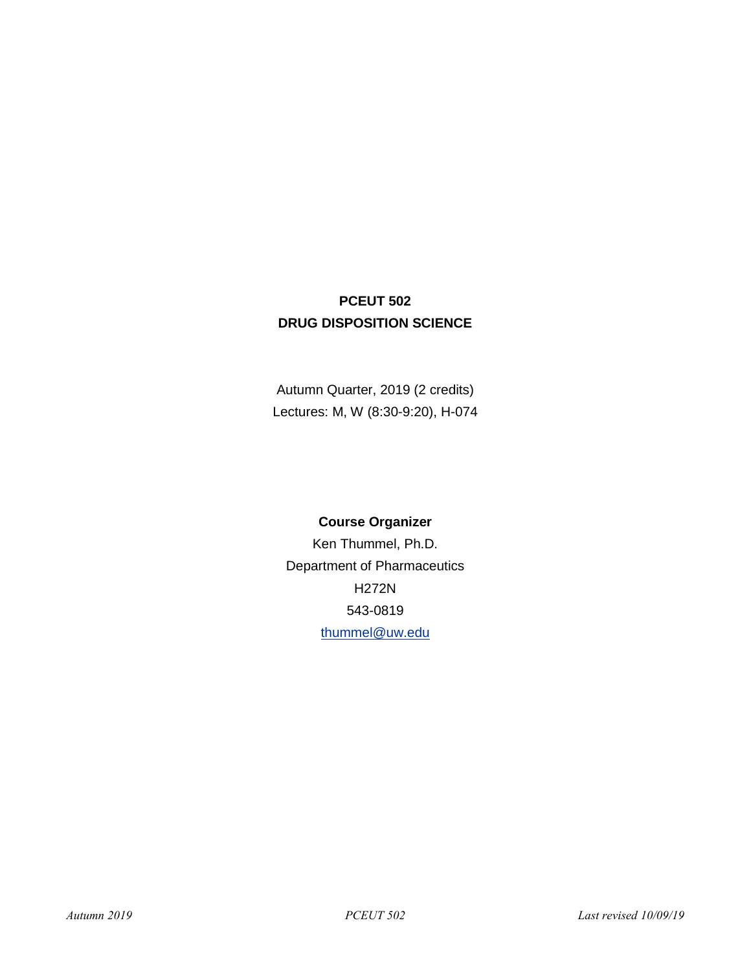# **PCEUT 502 DRUG DISPOSITION SCIENCE**

Autumn Quarter, 2019 (2 credits) Lectures: M, W (8:30-9:20), H-074

# **Course Organizer**

Ken Thummel, Ph.D. Department of Pharmaceutics H272N 543-0819 [thummel@uw.edu](mailto:thummel@uw.edu)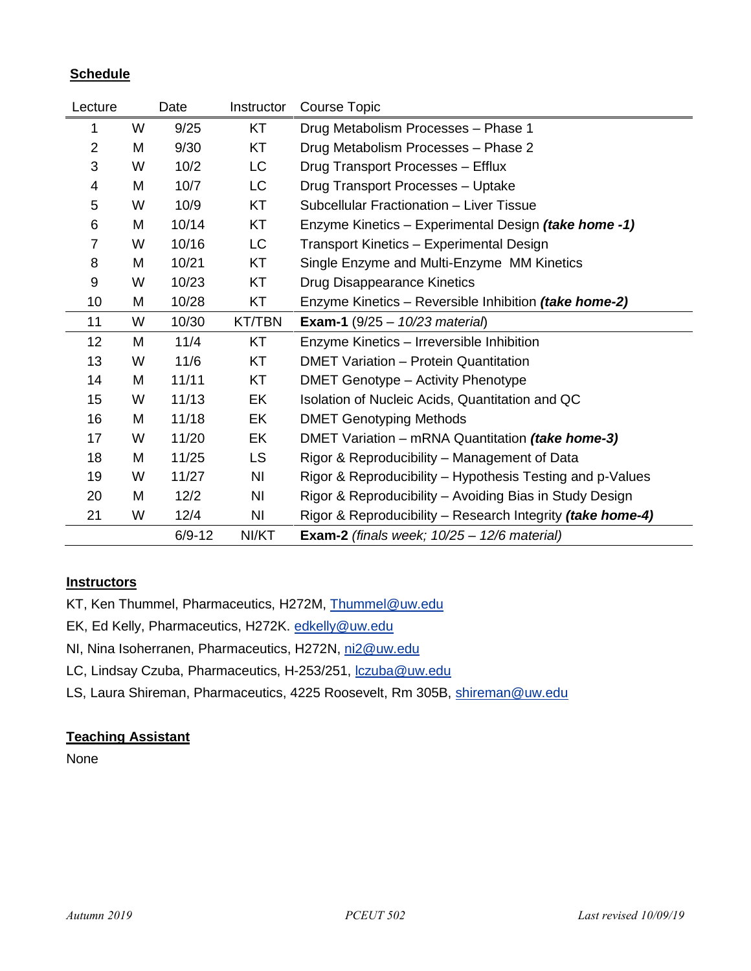# **Schedule**

| Lecture        |   | Date       | Instructor    | Course Topic                                                |
|----------------|---|------------|---------------|-------------------------------------------------------------|
| 1              | W | 9/25       | KT            | Drug Metabolism Processes - Phase 1                         |
| $\overline{2}$ | M | 9/30       | KT            | Drug Metabolism Processes - Phase 2                         |
| 3              | W | 10/2       | LC            | Drug Transport Processes - Efflux                           |
| 4              | M | 10/7       | LC            | Drug Transport Processes - Uptake                           |
| 5              | W | 10/9       | KT            | Subcellular Fractionation - Liver Tissue                    |
| 6              | M | 10/14      | KT            | Enzyme Kinetics – Experimental Design <i>(take home -1)</i> |
| $\overline{7}$ | W | 10/16      | <b>LC</b>     | Transport Kinetics - Experimental Design                    |
| 8              | M | 10/21      | KT            | Single Enzyme and Multi-Enzyme MM Kinetics                  |
| 9              | W | 10/23      | KT            | Drug Disappearance Kinetics                                 |
| 10             | M | 10/28      | KT            | Enzyme Kinetics – Reversible Inhibition (take home-2)       |
| 11             | W | 10/30      | <b>KT/TBN</b> | <b>Exam-1</b> (9/25 - $10/23$ material)                     |
| 12             | M | 11/4       | KT            | Enzyme Kinetics - Irreversible Inhibition                   |
| 13             | W | 11/6       | KT            | <b>DMET Variation - Protein Quantitation</b>                |
| 14             | M | 11/11      | KT            | <b>DMET Genotype - Activity Phenotype</b>                   |
| 15             | W | 11/13      | EK            | Isolation of Nucleic Acids, Quantitation and QC             |
| 16             | M | 11/18      | EK            | <b>DMET Genotyping Methods</b>                              |
| 17             | W | 11/20      | EK            | DMET Variation - mRNA Quantitation (take home-3)            |
| 18             | M | 11/25      | LS.           | Rigor & Reproducibility – Management of Data                |
| 19             | W | 11/27      | NI            | Rigor & Reproducibility – Hypothesis Testing and p-Values   |
| 20             | M | 12/2       | NI            | Rigor & Reproducibility – Avoiding Bias in Study Design     |
| 21             | W | 12/4       | NI            | Rigor & Reproducibility – Research Integrity (take home-4)  |
|                |   | $6/9 - 12$ | NI/KT         | Exam-2 (finals week; $10/25 - 12/6$ material)               |

# **Instructors**

KT, Ken Thummel, Pharmaceutics, H272M, [Thummel@uw.edu](mailto:Thummel@uw.edu)

EK, Ed Kelly, Pharmaceutics, H272K. [edkelly@uw.edu](mailto:edkelly@uw.edu)

NI, Nina Isoherranen, Pharmaceutics, H272N, [ni2@uw.edu](mailto:ni2@uw.edu)

LC, Lindsay Czuba, Pharmaceutics, H-253/251, [lczuba@uw.edu](mailto:lczuba@uw.edu)

LS, Laura Shireman, Pharmaceutics, 4225 Roosevelt, Rm 305B, [shireman@uw.edu](mailto:shireman@uw.edu)

# **Teaching Assistant**

None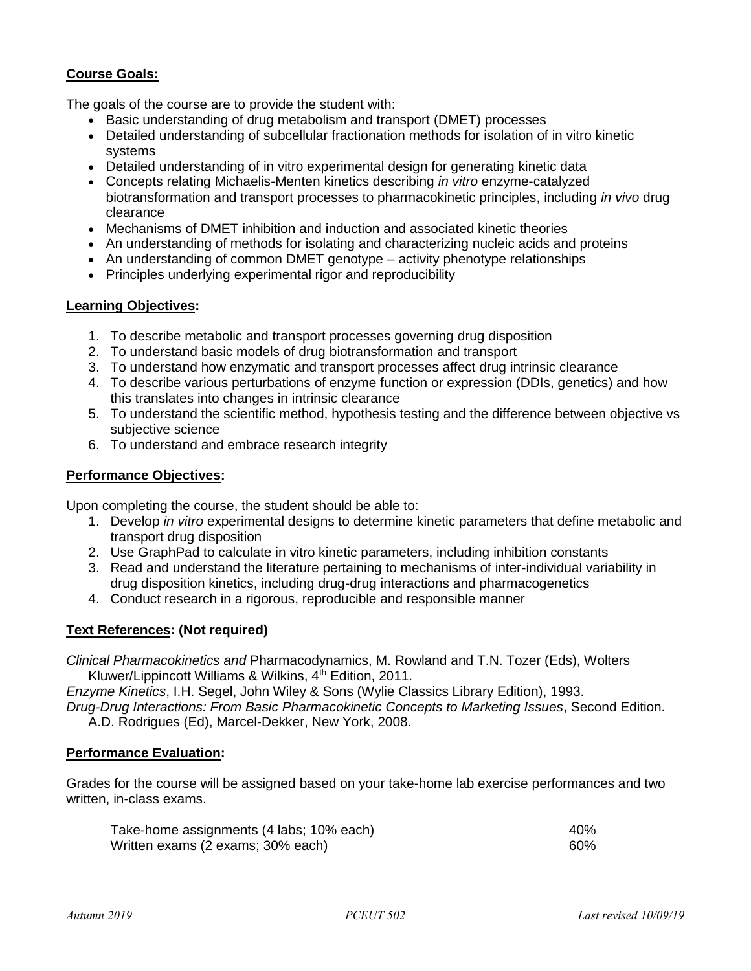# **Course Goals:**

The goals of the course are to provide the student with:

- Basic understanding of drug metabolism and transport (DMET) processes
- Detailed understanding of subcellular fractionation methods for isolation of in vitro kinetic systems
- Detailed understanding of in vitro experimental design for generating kinetic data
- Concepts relating Michaelis-Menten kinetics describing *in vitro* enzyme-catalyzed biotransformation and transport processes to pharmacokinetic principles, including *in vivo* drug clearance
- Mechanisms of DMET inhibition and induction and associated kinetic theories
- An understanding of methods for isolating and characterizing nucleic acids and proteins
- An understanding of common DMET genotype activity phenotype relationships
- Principles underlying experimental rigor and reproducibility

#### **Learning Objectives:**

- 1. To describe metabolic and transport processes governing drug disposition
- 2. To understand basic models of drug biotransformation and transport
- 3. To understand how enzymatic and transport processes affect drug intrinsic clearance
- 4. To describe various perturbations of enzyme function or expression (DDIs, genetics) and how this translates into changes in intrinsic clearance
- 5. To understand the scientific method, hypothesis testing and the difference between objective vs subjective science
- 6. To understand and embrace research integrity

#### **Performance Objectives:**

Upon completing the course, the student should be able to:

- 1. Develop *in vitro* experimental designs to determine kinetic parameters that define metabolic and transport drug disposition
- 2. Use GraphPad to calculate in vitro kinetic parameters, including inhibition constants
- 3. Read and understand the literature pertaining to mechanisms of inter-individual variability in drug disposition kinetics, including drug-drug interactions and pharmacogenetics
- 4. Conduct research in a rigorous, reproducible and responsible manner

# **Text References: (Not required)**

*Clinical Pharmacokinetics and* Pharmacodynamics, M. Rowland and T.N. Tozer (Eds), Wolters Kluwer/Lippincott Williams & Wilkins,  $4<sup>th</sup>$  Edition, 2011.

*Enzyme Kinetics*, I.H. Segel, John Wiley & Sons (Wylie Classics Library Edition), 1993. *Drug-Drug Interactions: From Basic Pharmacokinetic Concepts to Marketing Issues*, Second Edition.

A.D. Rodrigues (Ed), Marcel-Dekker, New York, 2008.

#### **Performance Evaluation:**

Grades for the course will be assigned based on your take-home lab exercise performances and two written, in-class exams.

| Take-home assignments (4 labs; 10% each) | 40% |
|------------------------------------------|-----|
| Written exams (2 exams; 30% each)        | 60% |